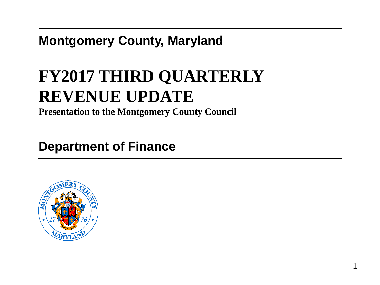## **Montgomery County, Maryland**

# **FY2017 THIRD QUARTERLY REVENUE UPDATE**

**Presentation to the Montgomery County Council**

## **Department of Finance**

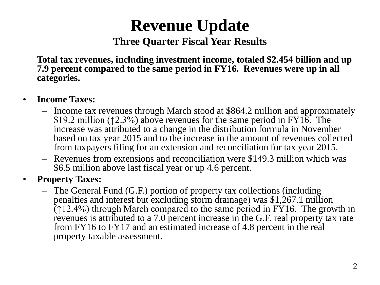# **Revenue Update**

#### **Three Quarter Fiscal Year Results**

**Total tax revenues, including investment income, totaled \$2.454 billion and up 7.9 percent compared to the same period in FY16. Revenues were up in all categories.**

#### • **Income Taxes:**

- Income tax revenues through March stood at \$864.2 million and approximately \$19.2 million (↑2.3%) above revenues for the same period in FY16. The increase was attributed to a change in the distribution formula in November based on tax year 2015 and to the increase in the amount of revenues collected from taxpayers filing for an extension and reconciliation for tax year 2015.
- Revenues from extensions and reconciliation were \$149.3 million which was \$6.5 million above last fiscal year or up 4.6 percent.

#### • **Property Taxes:**

– The General Fund (G.F.) portion of property tax collections (including penalties and interest but excluding storm drainage) was \$1,267.1 million  $(12.4%)$  through March compared to the same period in FY16. The growth in revenues is attributed to a 7.0 percent increase in the G.F. real property tax rate from FY16 to FY17 and an estimated increase of 4.8 percent in the real property taxable assessment.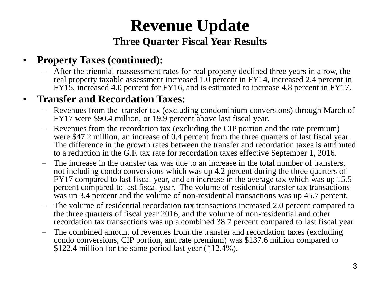# **Revenue Update Three Quarter Fiscal Year Results**

### • **Property Taxes (continued):**

– After the triennial reassessment rates for real property declined three years in a row, the real property taxable assessment increased 1.0 percent in FY14, increased 2.4 percent in FY15, increased 4.0 percent for FY16, and is estimated to increase 4.8 percent in FY17.

### • **Transfer and Recordation Taxes:**

- Revenues from the transfer tax (excluding condominium conversions) through March of FY17 were \$90.4 million, or 19.9 percent above last fiscal year.
- Revenues from the recordation tax (excluding the CIP portion and the rate premium) were \$47.2 million, an increase of 0.4 percent from the three quarters of last fiscal year. The difference in the growth rates between the transfer and recordation taxes is attributed to a reduction in the G.F. tax rate for recordation taxes effective September 1, 2016.
- The increase in the transfer tax was due to an increase in the total number of transfers, not including condo conversions which was up 4.2 percent during the three quarters of FY17 compared to last fiscal year, and an increase in the average tax which was up 15.5 percent compared to last fiscal year. The volume of residential transfer tax transactions was up 3.4 percent and the volume of non-residential transactions was up 45.7 percent.
- The volume of residential recordation tax transactions increased 2.0 percent compared to the three quarters of fiscal year 2016, and the volume of non-residential and other recordation tax transactions was up a combined 38.7 percent compared to last fiscal year.
- The combined amount of revenues from the transfer and recordation taxes (excluding condo conversions, CIP portion, and rate premium) was \$137.6 million compared to \$122.4 million for the same period last year (↑12.4%).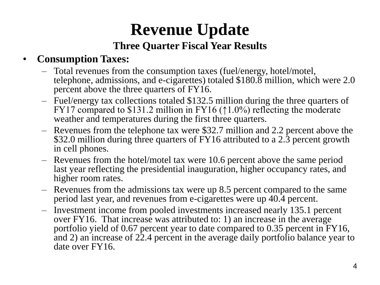# **Revenue Update Three Quarter Fiscal Year Results**

### • **Consumption Taxes:**

- Total revenues from the consumption taxes (fuel/energy, hotel/motel, telephone, admissions, and e-cigarettes) totaled \$180.8 million, which were 2.0 percent above the three quarters of FY16.
- Fuel/energy tax collections totaled \$132.5 million during the three quarters of FY17 compared to \$131.2 million in FY16 ( $\uparrow$ 1.0%) reflecting the moderate weather and temperatures during the first three quarters.
- Revenues from the telephone tax were \$32.7 million and 2.2 percent above the \$32.0 million during three quarters of FY16 attributed to a 2.3 percent growth in cell phones.
- Revenues from the hotel/motel tax were 10.6 percent above the same period last year reflecting the presidential inauguration, higher occupancy rates, and higher room rates.
- Revenues from the admissions tax were up 8.5 percent compared to the same period last year, and revenues from e-cigarettes were up 40.4 percent.
- Investment income from pooled investments increased nearly 135.1 percent over FY16. That increase was attributed to: 1) an increase in the average portfolio yield of 0.67 percent year to date compared to 0.35 percent in FY16, and 2) an increase of 22.4 percent in the average daily portfolio balance year to date over FY16.